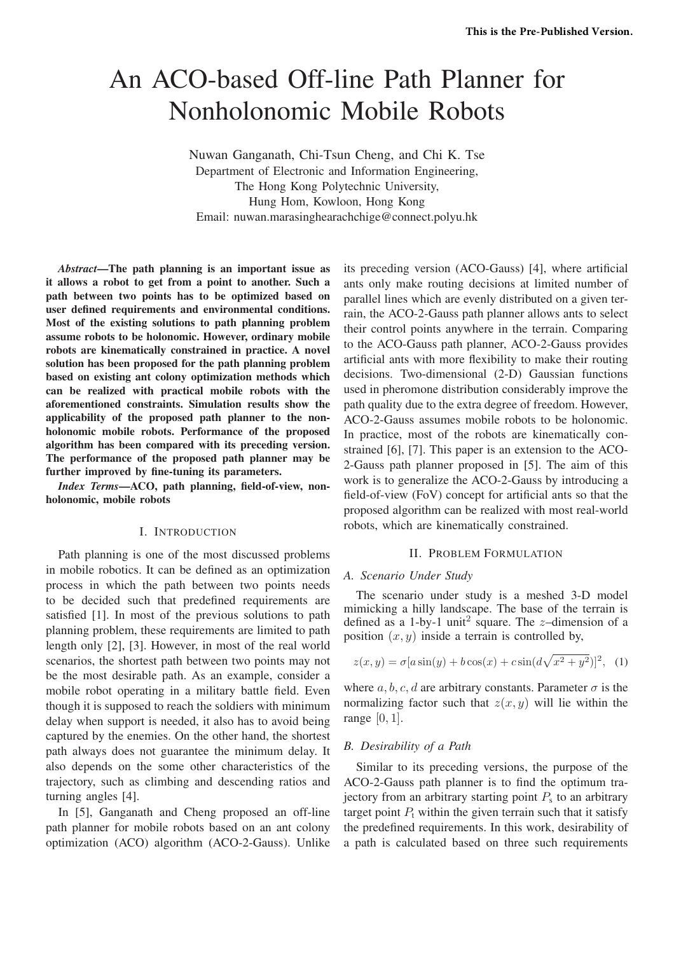# An ACO-based Off-line Path Planner for Nonholonomic Mobile Robots

Nuwan Ganganath, Chi-Tsun Cheng, and Chi K. Tse Department of Electronic and Information Engineering, The Hong Kong Polytechnic University, Hung Hom, Kowloon, Hong Kong Email: nuwan.marasinghearachchige@connect.polyu.hk

*Abstract*—The path planning is an important issue as it allows a robot to get from a point to another. Such a path between two points has to be optimized based on user defined requirements and environmental conditions. Most of the existing solutions to path planning problem assume robots to be holonomic. However, ordinary mobile robots are kinematically constrained in practice. A novel solution has been proposed for the path planning problem based on existing ant colony optimization methods which can be realized with practical mobile robots with the aforementioned constraints. Simulation results show the applicability of the proposed path planner to the nonholonomic mobile robots. Performance of the proposed algorithm has been compared with its preceding version. The performance of the proposed path planner may be further improved by fine-tuning its parameters.

*Index Terms*—ACO, path planning, field-of-view, nonholonomic, mobile robots

### I. INTRODUCTION

Path planning is one of the most discussed problems in mobile robotics. It can be defined as an optimization process in which the path between two points needs to be decided such that predefined requirements are satisfied [1]. In most of the previous solutions to path planning problem, these requirements are limited to path length only [2], [3]. However, in most of the real world scenarios, the shortest path between two points may not be the most desirable path. As an example, consider a mobile robot operating in a military battle field. Even though it is supposed to reach the soldiers with minimum delay when support is needed, it also has to avoid being captured by the enemies. On the other hand, the shortest path always does not guarantee the minimum delay. It also depends on the some other characteristics of the trajectory, such as climbing and descending ratios and turning angles [4].

In [5], Ganganath and Cheng proposed an off-line path planner for mobile robots based on an ant colony optimization (ACO) algorithm (ACO-2-Gauss). Unlike

its preceding version (ACO-Gauss) [4], where artificial ants only make routing decisions at limited number of parallel lines which are evenly distributed on a given terrain, the ACO-2-Gauss path planner allows ants to select their control points anywhere in the terrain. Comparing to the ACO-Gauss path planner, ACO-2-Gauss provides artificial ants with more flexibility to make their routing decisions. Two-dimensional (2-D) Gaussian functions used in pheromone distribution considerably improve the path quality due to the extra degree of freedom. However, ACO-2-Gauss assumes mobile robots to be holonomic. In practice, most of the robots are kinematically constrained [6], [7]. This paper is an extension to the ACO-2-Gauss path planner proposed in [5]. The aim of this work is to generalize the ACO-2-Gauss by introducing a field-of-view (FoV) concept for artificial ants so that the proposed algorithm can be realized with most real-world robots, which are kinematically constrained.

#### II. PROBLEM FORMULATION

#### *A. Scenario Under Study*

The scenario under study is a meshed 3-D model mimicking a hilly landscape. The base of the terrain is defined as a 1-by-1 unit<sup>2</sup> square. The *z*-dimension of a position  $(x, y)$  inside a terrain is controlled by,

$$
z(x, y) = \sigma [a \sin(y) + b \cos(x) + c \sin(d\sqrt{x^2 + y^2})]^2, \quad (1)
$$

where  $a, b, c, d$  are arbitrary constants. Parameter  $\sigma$  is the normalizing factor such that  $z(x, y)$  will lie within the range [0, 1].

#### *B. Desirability of a Path*

Similar to its preceding versions, the purpose of the ACO-2-Gauss path planner is to find the optimum trajectory from an arbitrary starting point  $P_s$  to an arbitrary target point  $P_t$  within the given terrain such that it satisfy the predefined requirements. In this work, desirability of a path is calculated based on three such requirements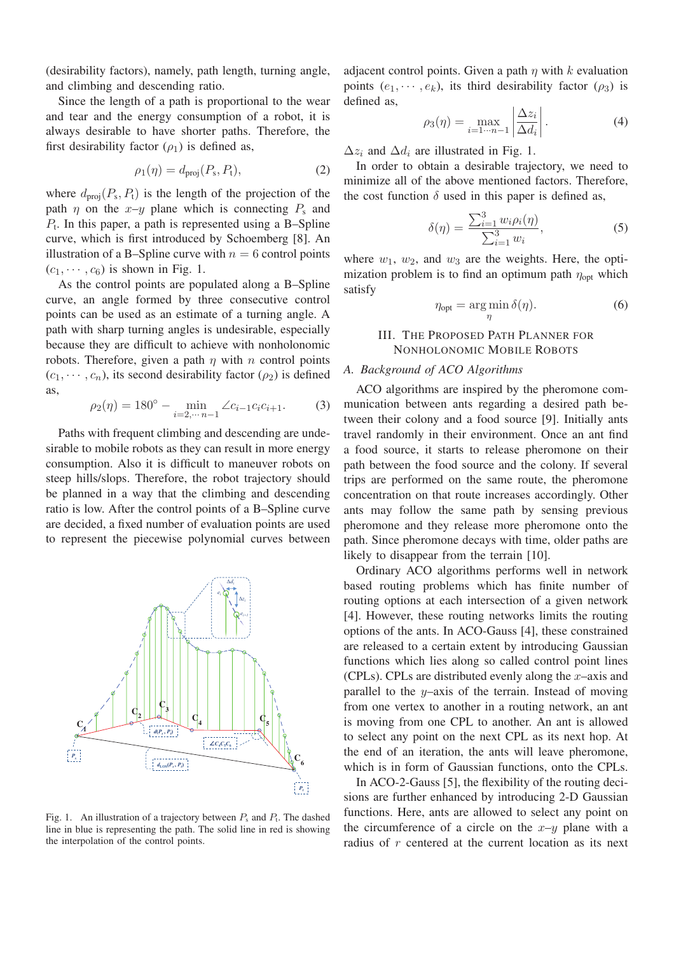(desirability factors), namely, path length, turning angle, and climbing and descending ratio.

Since the length of a path is proportional to the wear and tear and the energy consumption of a robot, it is always desirable to have shorter paths. Therefore, the first desirability factor  $(\rho_1)$  is defined as,

$$
\rho_1(\eta) = d_{\text{proj}}(P_s, P_t),\tag{2}
$$

where  $d_{\text{proj}}(P_s, P_t)$  is the length of the projection of the path  $\eta$  on the x-y plane which is connecting  $P_s$  and  $P_t$ . In this paper, a path is represented using a B-Spline curve, which is first introduced by Schoemberg [8]. An illustration of a B–Spline curve with  $n = 6$  control points  $(c_1, \dots, c_6)$  is shown in Fig. 1.

As the control points are populated along a B–Spline curve, an angle formed by three consecutive control points can be used as an estimate of a turning angle. A path with sharp turning angles is undesirable, especially because they are difficult to achieve with nonholonomic robots. Therefore, given a path  $\eta$  with  $n$  control points  $(c_1, \dots, c_n)$ , its second desirability factor  $(\rho_2)$  is defined as,

$$
\rho_2(\eta) = 180^\circ - \min_{i=2,\cdots n-1} \angle c_{i-1} c_i c_{i+1}.\tag{3}
$$

Paths with frequent climbing and descending are undesirable to mobile robots as they can result in more energy consumption. Also it is difficult to maneuver robots on steep hills/slops. Therefore, the robot trajectory should be planned in a way that the climbing and descending ratio is low. After the control points of a B–Spline curve are decided, a fixed number of evaluation points are used to represent the piecewise polynomial curves between



Fig. 1. An illustration of a trajectory between  $P_s$  and  $P_t$ . The dashed line in blue is representing the path. The solid line in red is showing the interpolation of the control points.

adjacent control points. Given a path  $\eta$  with k evaluation points  $(e_1, \dots, e_k)$ , its third desirability factor  $(\rho_3)$  is defined as,  $\mathbf{r}$ 

$$
\rho_3(\eta) = \max_{i=1\cdots n-1} \left| \frac{\Delta z_i}{\Delta d_i} \right|.
$$
 (4)

 $\Delta z_i$  and  $\Delta d_i$  are illustrated in Fig. 1.

In order to obtain a desirable trajectory, we need to minimize all of the above mentioned factors. Therefore, the cost function  $\delta$  used in this paper is defined as,

$$
\delta(\eta) = \frac{\sum_{i=1}^{3} w_i \rho_i(\eta)}{\sum_{i=1}^{3} w_i},
$$
\n(5)

where  $w_1$ ,  $w_2$ , and  $w_3$  are the weights. Here, the optimization problem is to find an optimum path  $\eta_{\text{opt}}$  which satisfy

$$
\eta_{\text{opt}} = \underset{\eta}{\arg\min} \,\delta(\eta). \tag{6}
$$

## III. THE PROPOSED PATH PLANNER FOR NONHOLONOMIC MOBILE ROBOTS

## *A. Background of ACO Algorithms*

ACO algorithms are inspired by the pheromone communication between ants regarding a desired path between their colony and a food source [9]. Initially ants travel randomly in their environment. Once an ant find a food source, it starts to release pheromone on their path between the food source and the colony. If several trips are performed on the same route, the pheromone concentration on that route increases accordingly. Other ants may follow the same path by sensing previous pheromone and they release more pheromone onto the path. Since pheromone decays with time, older paths are likely to disappear from the terrain [10].

Ordinary ACO algorithms performs well in network based routing problems which has finite number of routing options at each intersection of a given network [4]. However, these routing networks limits the routing options of the ants. In ACO-Gauss [4], these constrained are released to a certain extent by introducing Gaussian functions which lies along so called control point lines (CPLs). CPLs are distributed evenly along the  $x$ –axis and parallel to the  $y$ -axis of the terrain. Instead of moving from one vertex to another in a routing network, an ant is moving from one CPL to another. An ant is allowed to select any point on the next CPL as its next hop. At the end of an iteration, the ants will leave pheromone, which is in form of Gaussian functions, onto the CPLs.

In ACO-2-Gauss [5], the flexibility of the routing decisions are further enhanced by introducing 2-D Gaussian functions. Here, ants are allowed to select any point on the circumference of a circle on the  $x-y$  plane with a radius of  $r$  centered at the current location as its next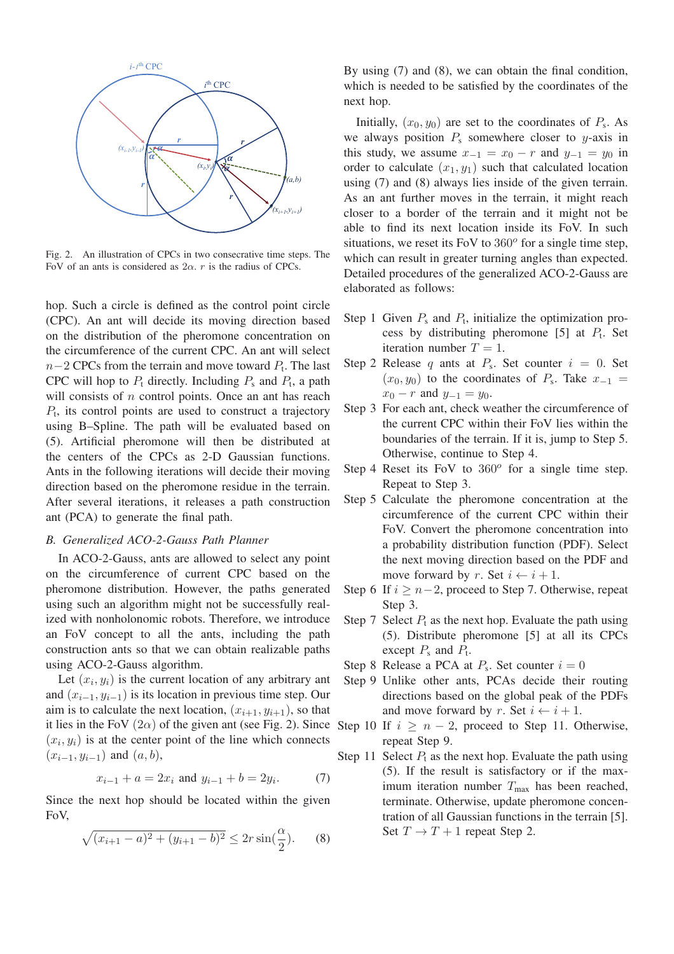

Fig. 2. An illustration of CPCs in two consecrative time steps. The FoV of an ants is considered as  $2\alpha$ . r is the radius of CPCs.

hop. Such a circle is defined as the control point circle (CPC). An ant will decide its moving direction based on the distribution of the pheromone concentration on the circumference of the current CPC. An ant will select  $n-2$  CPCs from the terrain and move toward  $P_t$ . The last CPC will hop to  $P_t$  directly. Including  $P_s$  and  $P_t$ , a path will consists of  $n$  control points. Once an ant has reach  $P_t$ , its control points are used to construct a trajectory using B–Spline. The path will be evaluated based on (5). Artificial pheromone will then be distributed at the centers of the CPCs as 2-D Gaussian functions. Ants in the following iterations will decide their moving direction based on the pheromone residue in the terrain. After several iterations, it releases a path construction ant (PCA) to generate the final path.

# *B. Generalized ACO-2-Gauss Path Planner*

In ACO-2-Gauss, ants are allowed to select any point on the circumference of current CPC based on the pheromone distribution. However, the paths generated using such an algorithm might not be successfully realized with nonholonomic robots. Therefore, we introduce an FoV concept to all the ants, including the path construction ants so that we can obtain realizable paths using ACO-2-Gauss algorithm.

Let  $(x_i, y_i)$  is the current location of any arbitrary ant and  $(x_{i-1}, y_{i-1})$  is its location in previous time step. Our aim is to calculate the next location,  $(x_{i+1}, y_{i+1})$ , so that it lies in the FoV  $(2\alpha)$  of the given ant (see Fig. 2). Since Step 10 If  $i \geq n-2$ , proceed to Step 11. Otherwise,  $(x<sub>i</sub>, y<sub>i</sub>)$  is at the center point of the line which connects  $(x_{i-1}, y_{i-1})$  and  $(a, b)$ ,

$$
x_{i-1} + a = 2x_i \text{ and } y_{i-1} + b = 2y_i. \tag{7}
$$

Since the next hop should be located within the given FoV,

$$
\sqrt{(x_{i+1} - a)^2 + (y_{i+1} - b)^2} \le 2r \sin(\frac{\alpha}{2}).
$$
 (8)

By using (7) and (8), we can obtain the final condition, which is needed to be satisfied by the coordinates of the next hop.

Initially,  $(x_0, y_0)$  are set to the coordinates of  $P_s$ . As we always position  $P_s$  somewhere closer to y-axis in this study, we assume  $x_{-1} = x_0 - r$  and  $y_{-1} = y_0$  in order to calculate  $(x_1, y_1)$  such that calculated location using (7) and (8) always lies inside of the given terrain. As an ant further moves in the terrain, it might reach closer to a border of the terrain and it might not be able to find its next location inside its FoV. In such situations, we reset its FoV to  $360^{\circ}$  for a single time step, which can result in greater turning angles than expected. Detailed procedures of the generalized ACO-2-Gauss are elaborated as follows:

- Step 1 Given  $P_s$  and  $P_t$ , initialize the optimization process by distributing pheromone [5] at  $P_t$ . Set iteration number  $T = 1$ .
- Step 2 Release q ants at  $P_s$ . Set counter  $i = 0$ . Set  $(x_0, y_0)$  to the coordinates of  $P_s$ . Take  $x_{-1} =$  $x_0 - r$  and  $y_{-1} = y_0$ .
- Step 3 For each ant, check weather the circumference of the current CPC within their FoV lies within the boundaries of the terrain. If it is, jump to Step 5. Otherwise, continue to Step 4.
- Step 4 Reset its FoV to  $360^{\circ}$  for a single time step. Repeat to Step 3.
- Step 5 Calculate the pheromone concentration at the circumference of the current CPC within their FoV. Convert the pheromone concentration into a probability distribution function (PDF). Select the next moving direction based on the PDF and move forward by r. Set  $i \leftarrow i + 1$ .
- Step 6 If  $i \geq n-2$ , proceed to Step 7. Otherwise, repeat Step 3.
- Step 7 Select  $P_t$  as the next hop. Evaluate the path using (5). Distribute pheromone [5] at all its CPCs except  $P_s$  and  $P_t$ .
- Step 8 Release a PCA at  $P_s$ . Set counter  $i = 0$
- Step 9 Unlike other ants, PCAs decide their routing directions based on the global peak of the PDFs and move forward by r. Set  $i \leftarrow i + 1$ .
- repeat Step 9.
- Step 11 Select  $P_t$  as the next hop. Evaluate the path using (5). If the result is satisfactory or if the maximum iteration number  $T_{\text{max}}$  has been reached, terminate. Otherwise, update pheromone concentration of all Gaussian functions in the terrain [5]. Set  $T \rightarrow T + 1$  repeat Step 2.